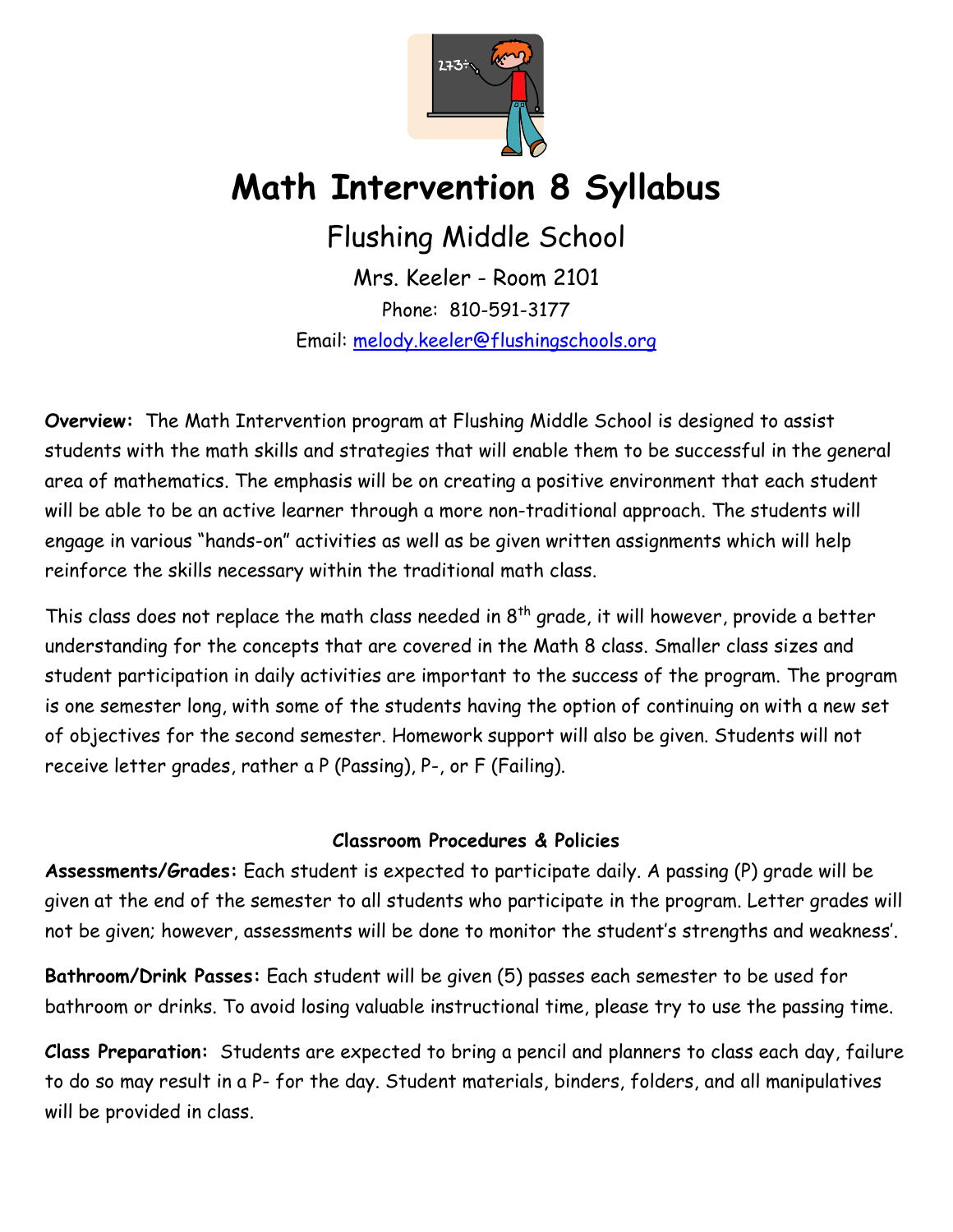

## **Math Intervention 8 Syllabus**

Flushing Middle School

Mrs. Keeler - Room 2101 Phone: 810-591-3177 Email: [melody.keeler@flushingschools.org](mailto:melody.keeler@flushingschools.org)

**Overview:** The Math Intervention program at Flushing Middle School is designed to assist students with the math skills and strategies that will enable them to be successful in the general area of mathematics. The emphasis will be on creating a positive environment that each student will be able to be an active learner through a more non-traditional approach. The students will engage in various "hands-on" activities as well as be given written assignments which will help reinforce the skills necessary within the traditional math class.

This class does not replace the math class needed in  $8<sup>th</sup>$  grade, it will however, provide a better understanding for the concepts that are covered in the Math 8 class. Smaller class sizes and student participation in daily activities are important to the success of the program. The program is one semester long, with some of the students having the option of continuing on with a new set of objectives for the second semester. Homework support will also be given. Students will not receive letter grades, rather a P (Passing), P-, or F (Failing).

## **Classroom Procedures & Policies**

**Assessments/Grades:** Each student is expected to participate daily. A passing (P) grade will be given at the end of the semester to all students who participate in the program. Letter grades will not be given; however, assessments will be done to monitor the student's strengths and weakness'.

**Bathroom/Drink Passes:** Each student will be given (5) passes each semester to be used for bathroom or drinks. To avoid losing valuable instructional time, please try to use the passing time.

**Class Preparation:** Students are expected to bring a pencil and planners to class each day, failure to do so may result in a P- for the day. Student materials, binders, folders, and all manipulatives will be provided in class.